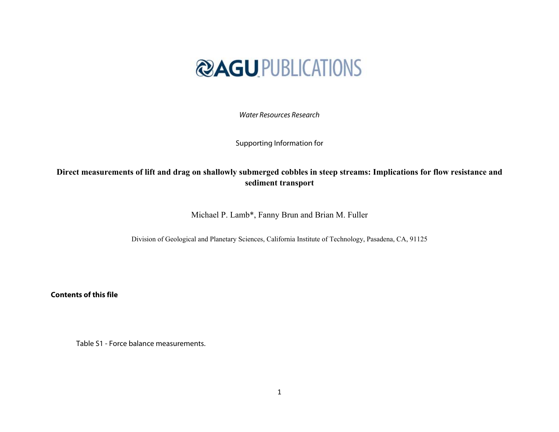

Water Resources Research

Supporting Information for

## **Direct measurements of lift and drag on shallowly submerged cobbles in steep streams: Implications for flow resistance and sediment transport**

Michael P. Lamb\*, Fanny Brun and Brian M. Fuller

Division of Geological and Planetary Sciences, California Institute of Technology, Pasadena, CA, 91125

**Contents of this file** 

Table S1 - Force balance measurements.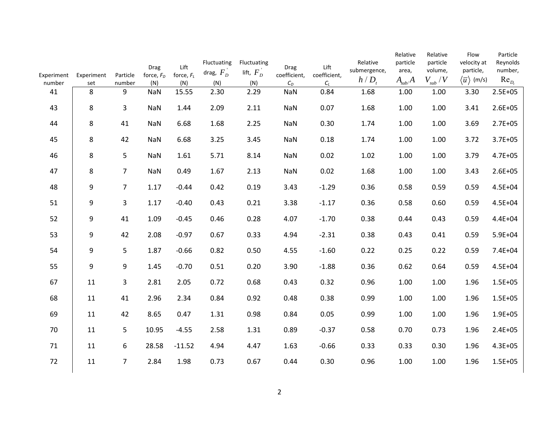| Experiment | Experiment | Particle       | Drag<br>force, $F_D$ | Lift<br>force, $F_L$ | Fluctuating<br>drag, $F_D^+$ | Fluctuating<br>lift, $F_D^+$ | <b>Drag</b><br>coefficient, | Lift<br>coefficient, | Relative<br>submergence,<br>$h/D$ , | Relative<br>particle<br>area,<br>$A_{sub}/A$ | Relative<br>particle<br>volume,<br>$V_{sub}$ / $V$ | Flow<br>velocity at<br>particle,<br>$\langle \overline{u} \rangle$ (m/s) | Particle<br>Reynolds<br>number,<br>$Re_{D}$ |
|------------|------------|----------------|----------------------|----------------------|------------------------------|------------------------------|-----------------------------|----------------------|-------------------------------------|----------------------------------------------|----------------------------------------------------|--------------------------------------------------------------------------|---------------------------------------------|
| number     | set        | number         | (N)                  | (N)                  | (N)                          | (N)                          | $C_D$                       | $C_L$                |                                     |                                              |                                                    |                                                                          |                                             |
| 41         | 8          | 9              | <b>NaN</b>           | 15.55                | 2.30                         | 2.29                         | <b>NaN</b>                  | 0.84                 | 1.68                                | 1.00                                         | 1.00                                               | 3.30                                                                     | $2.5E + 05$                                 |
| 43         | 8          | 3              | NaN                  | 1.44                 | 2.09                         | 2.11                         | NaN                         | 0.07                 | 1.68                                | 1.00                                         | 1.00                                               | 3.41                                                                     | $2.6E + 05$                                 |
| 44         | 8          | 41             | <b>NaN</b>           | 6.68                 | 1.68                         | 2.25                         | <b>NaN</b>                  | 0.30                 | 1.74                                | 1.00                                         | 1.00                                               | 3.69                                                                     | $2.7E + 05$                                 |
| 45         | 8          | 42             | <b>NaN</b>           | 6.68                 | 3.25                         | 3.45                         | <b>NaN</b>                  | 0.18                 | 1.74                                | 1.00                                         | 1.00                                               | 3.72                                                                     | $3.7E + 05$                                 |
| 46         | 8          | 5              | NaN                  | 1.61                 | 5.71                         | 8.14                         | <b>NaN</b>                  | 0.02                 | 1.02                                | 1.00                                         | 1.00                                               | 3.79                                                                     | $4.7E + 05$                                 |
| 47         | 8          | $\overline{7}$ | <b>NaN</b>           | 0.49                 | 1.67                         | 2.13                         | <b>NaN</b>                  | 0.02                 | 1.68                                | 1.00                                         | 1.00                                               | 3.43                                                                     | $2.6E + 05$                                 |
| 48         | 9          | $\overline{7}$ | 1.17                 | $-0.44$              | 0.42                         | 0.19                         | 3.43                        | $-1.29$              | 0.36                                | 0.58                                         | 0.59                                               | 0.59                                                                     | $4.5E + 04$                                 |
| 51         | 9          | $\overline{3}$ | 1.17                 | $-0.40$              | 0.43                         | 0.21                         | 3.38                        | $-1.17$              | 0.36                                | 0.58                                         | 0.60                                               | 0.59                                                                     | $4.5E + 04$                                 |
| 52         | 9          | 41             | 1.09                 | $-0.45$              | 0.46                         | 0.28                         | 4.07                        | $-1.70$              | 0.38                                | 0.44                                         | 0.43                                               | 0.59                                                                     | $4.4E + 04$                                 |
| 53         | 9          | 42             | 2.08                 | $-0.97$              | 0.67                         | 0.33                         | 4.94                        | $-2.31$              | 0.38                                | 0.43                                         | 0.41                                               | 0.59                                                                     | $5.9E + 04$                                 |
| 54         | 9          | 5              | 1.87                 | $-0.66$              | 0.82                         | 0.50                         | 4.55                        | $-1.60$              | 0.22                                | 0.25                                         | 0.22                                               | 0.59                                                                     | 7.4E+04                                     |
| 55         | 9          | 9              | 1.45                 | $-0.70$              | 0.51                         | 0.20                         | 3.90                        | $-1.88$              | 0.36                                | 0.62                                         | 0.64                                               | 0.59                                                                     | $4.5E + 04$                                 |
| 67         | 11         | 3              | 2.81                 | 2.05                 | 0.72                         | 0.68                         | 0.43                        | 0.32                 | 0.96                                | 1.00                                         | 1.00                                               | 1.96                                                                     | $1.5E + 05$                                 |
| 68         | 11         | 41             | 2.96                 | 2.34                 | 0.84                         | 0.92                         | 0.48                        | 0.38                 | 0.99                                | 1.00                                         | 1.00                                               | 1.96                                                                     | $1.5E + 05$                                 |
| 69         | 11         | 42             | 8.65                 | 0.47                 | 1.31                         | 0.98                         | 0.84                        | 0.05                 | 0.99                                | 1.00                                         | 1.00                                               | 1.96                                                                     | $1.9E + 05$                                 |
| 70         | 11         | 5              | 10.95                | $-4.55$              | 2.58                         | 1.31                         | 0.89                        | $-0.37$              | 0.58                                | 0.70                                         | 0.73                                               | 1.96                                                                     | $2.4E + 05$                                 |
| 71         | 11         | 6              | 28.58                | $-11.52$             | 4.94                         | 4.47                         | 1.63                        | $-0.66$              | 0.33                                | 0.33                                         | 0.30                                               | 1.96                                                                     | $4.3E + 05$                                 |
| 72         | 11         | $\overline{7}$ | 2.84                 | 1.98                 | 0.73                         | 0.67                         | 0.44                        | 0.30                 | 0.96                                | 1.00                                         | 1.00                                               | 1.96                                                                     | $1.5E + 05$                                 |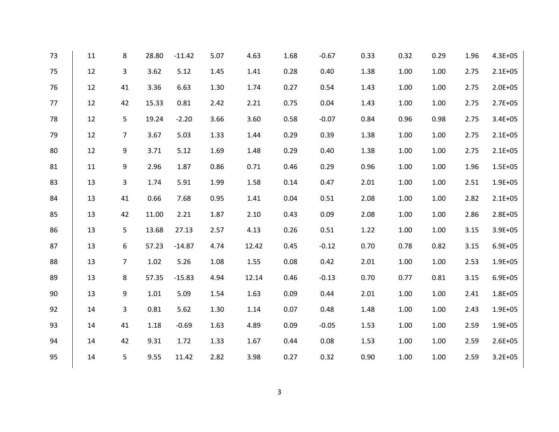| 73 | 11 | 8              | 28.80    | $-11.42$ | 5.07 | 4.63  | 1.68 | $-0.67$ | 0.33 | 0.32 | 0.29 | 1.96 | 4.3E+05     |
|----|----|----------------|----------|----------|------|-------|------|---------|------|------|------|------|-------------|
| 75 | 12 | $\mathbf{3}$   | 3.62     | 5.12     | 1.45 | 1.41  | 0.28 | 0.40    | 1.38 | 1.00 | 1.00 | 2.75 | $2.1E + 05$ |
| 76 | 12 | 41             | 3.36     | 6.63     | 1.30 | 1.74  | 0.27 | 0.54    | 1.43 | 1.00 | 1.00 | 2.75 | $2.0E + 05$ |
| 77 | 12 | 42             | 15.33    | 0.81     | 2.42 | 2.21  | 0.75 | 0.04    | 1.43 | 1.00 | 1.00 | 2.75 | $2.7E + 05$ |
| 78 | 12 | 5              | 19.24    | $-2.20$  | 3.66 | 3.60  | 0.58 | $-0.07$ | 0.84 | 0.96 | 0.98 | 2.75 | $3.4E + 05$ |
| 79 | 12 | $\overline{7}$ | 3.67     | 5.03     | 1.33 | 1.44  | 0.29 | 0.39    | 1.38 | 1.00 | 1.00 | 2.75 | $2.1E + 05$ |
| 80 | 12 | 9              | 3.71     | 5.12     | 1.69 | 1.48  | 0.29 | 0.40    | 1.38 | 1.00 | 1.00 | 2.75 | $2.1E + 05$ |
| 81 | 11 | 9              | 2.96     | 1.87     | 0.86 | 0.71  | 0.46 | 0.29    | 0.96 | 1.00 | 1.00 | 1.96 | $1.5E + 05$ |
| 83 | 13 | $\mathbf{3}$   | 1.74     | 5.91     | 1.99 | 1.58  | 0.14 | 0.47    | 2.01 | 1.00 | 1.00 | 2.51 | $1.9E + 05$ |
| 84 | 13 | 41             | 0.66     | 7.68     | 0.95 | 1.41  | 0.04 | 0.51    | 2.08 | 1.00 | 1.00 | 2.82 | $2.1E + 05$ |
| 85 | 13 | 42             | 11.00    | 2.21     | 1.87 | 2.10  | 0.43 | 0.09    | 2.08 | 1.00 | 1.00 | 2.86 | $2.8E + 05$ |
| 86 | 13 | 5              | 13.68    | 27.13    | 2.57 | 4.13  | 0.26 | 0.51    | 1.22 | 1.00 | 1.00 | 3.15 | $3.9E + 05$ |
| 87 | 13 | 6              | 57.23    | $-14.87$ | 4.74 | 12.42 | 0.45 | $-0.12$ | 0.70 | 0.78 | 0.82 | 3.15 | $6.9E + 05$ |
| 88 | 13 | $\overline{7}$ | 1.02     | 5.26     | 1.08 | 1.55  | 0.08 | 0.42    | 2.01 | 1.00 | 1.00 | 2.53 | $1.9E + 05$ |
| 89 | 13 | 8              | 57.35    | $-15.83$ | 4.94 | 12.14 | 0.46 | $-0.13$ | 0.70 | 0.77 | 0.81 | 3.15 | $6.9E + 05$ |
| 90 | 13 | 9              | $1.01\,$ | 5.09     | 1.54 | 1.63  | 0.09 | 0.44    | 2.01 | 1.00 | 1.00 | 2.41 | $1.8E + 05$ |
| 92 | 14 | $\mathbf{3}$   | 0.81     | 5.62     | 1.30 | 1.14  | 0.07 | 0.48    | 1.48 | 1.00 | 1.00 | 2.43 | $1.9E + 05$ |
| 93 | 14 | 41             | 1.18     | $-0.69$  | 1.63 | 4.89  | 0.09 | $-0.05$ | 1.53 | 1.00 | 1.00 | 2.59 | $1.9E + 05$ |
| 94 | 14 | 42             | 9.31     | 1.72     | 1.33 | 1.67  | 0.44 | 0.08    | 1.53 | 1.00 | 1.00 | 2.59 | $2.6E + 05$ |
| 95 | 14 | 5              | 9.55     | 11.42    | 2.82 | 3.98  | 0.27 | 0.32    | 0.90 | 1.00 | 1.00 | 2.59 | $3.2E + 05$ |
|    |    |                |          |          |      |       |      |         |      |      |      |      |             |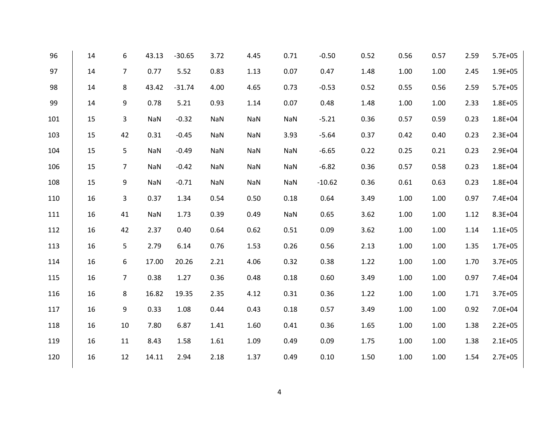| 96  | 14 | 6              | 43.13 | $-30.65$ | 3.72       | 4.45       | 0.71       | $-0.50$  | 0.52 | 0.56 | 0.57 | 2.59 | $5.7E + 05$ |
|-----|----|----------------|-------|----------|------------|------------|------------|----------|------|------|------|------|-------------|
| 97  | 14 | $\overline{7}$ | 0.77  | 5.52     | 0.83       | 1.13       | 0.07       | 0.47     | 1.48 | 1.00 | 1.00 | 2.45 | $1.9E + 05$ |
| 98  | 14 | 8              | 43.42 | $-31.74$ | 4.00       | 4.65       | 0.73       | $-0.53$  | 0.52 | 0.55 | 0.56 | 2.59 | $5.7E + 05$ |
| 99  | 14 | 9              | 0.78  | 5.21     | 0.93       | 1.14       | 0.07       | 0.48     | 1.48 | 1.00 | 1.00 | 2.33 | $1.8E + 05$ |
| 101 | 15 | 3              | NaN   | $-0.32$  | NaN        | NaN        | <b>NaN</b> | $-5.21$  | 0.36 | 0.57 | 0.59 | 0.23 | $1.8E + 04$ |
| 103 | 15 | 42             | 0.31  | $-0.45$  | NaN        | NaN        | 3.93       | $-5.64$  | 0.37 | 0.42 | 0.40 | 0.23 | $2.3E + 04$ |
| 104 | 15 | 5              | NaN   | $-0.49$  | <b>NaN</b> | <b>NaN</b> | <b>NaN</b> | $-6.65$  | 0.22 | 0.25 | 0.21 | 0.23 | 2.9E+04     |
| 106 | 15 | $\overline{7}$ | NaN   | $-0.42$  | NaN        | NaN        | <b>NaN</b> | $-6.82$  | 0.36 | 0.57 | 0.58 | 0.23 | $1.8E + 04$ |
| 108 | 15 | 9              | NaN   | $-0.71$  | NaN        | NaN        | <b>NaN</b> | $-10.62$ | 0.36 | 0.61 | 0.63 | 0.23 | $1.8E + 04$ |
| 110 | 16 | 3              | 0.37  | 1.34     | 0.54       | 0.50       | 0.18       | 0.64     | 3.49 | 1.00 | 1.00 | 0.97 | 7.4E+04     |
| 111 | 16 | 41             | NaN   | 1.73     | 0.39       | 0.49       | <b>NaN</b> | 0.65     | 3.62 | 1.00 | 1.00 | 1.12 | 8.3E+04     |
| 112 | 16 | 42             | 2.37  | 0.40     | 0.64       | 0.62       | 0.51       | 0.09     | 3.62 | 1.00 | 1.00 | 1.14 | $1.1E + 05$ |
| 113 | 16 | 5              | 2.79  | 6.14     | 0.76       | 1.53       | 0.26       | 0.56     | 2.13 | 1.00 | 1.00 | 1.35 | $1.7E + 05$ |
| 114 | 16 | 6              | 17.00 | 20.26    | 2.21       | 4.06       | 0.32       | 0.38     | 1.22 | 1.00 | 1.00 | 1.70 | $3.7E + 05$ |
| 115 | 16 | $\overline{7}$ | 0.38  | 1.27     | 0.36       | 0.48       | 0.18       | 0.60     | 3.49 | 1.00 | 1.00 | 0.97 | 7.4E+04     |
| 116 | 16 | 8              | 16.82 | 19.35    | 2.35       | 4.12       | 0.31       | 0.36     | 1.22 | 1.00 | 1.00 | 1.71 | $3.7E + 05$ |
| 117 | 16 | 9              | 0.33  | 1.08     | 0.44       | 0.43       | 0.18       | 0.57     | 3.49 | 1.00 | 1.00 | 0.92 | 7.0E+04     |
| 118 | 16 | 10             | 7.80  | 6.87     | 1.41       | 1.60       | 0.41       | 0.36     | 1.65 | 1.00 | 1.00 | 1.38 | $2.2E + 05$ |
| 119 | 16 | 11             | 8.43  | 1.58     | 1.61       | 1.09       | 0.49       | 0.09     | 1.75 | 1.00 | 1.00 | 1.38 | $2.1E + 05$ |
| 120 | 16 | 12             | 14.11 | 2.94     | 2.18       | 1.37       | 0.49       | 0.10     | 1.50 | 1.00 | 1.00 | 1.54 | $2.7E + 05$ |
|     |    |                |       |          |            |            |            |          |      |      |      |      |             |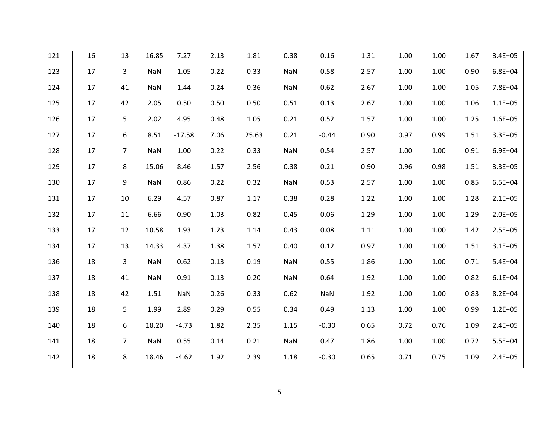| 121 | 16 | 13             | 16.85      | 7.27       | 2.13 | 1.81  | 0.38       | 0.16       | 1.31 | 1.00 | 1.00 | 1.67 | $3.4E + 05$ |
|-----|----|----------------|------------|------------|------|-------|------------|------------|------|------|------|------|-------------|
| 123 | 17 | $\mathbf{3}$   | NaN        | 1.05       | 0.22 | 0.33  | <b>NaN</b> | 0.58       | 2.57 | 1.00 | 1.00 | 0.90 | $6.8E + 04$ |
| 124 | 17 | 41             | <b>NaN</b> | 1.44       | 0.24 | 0.36  | <b>NaN</b> | 0.62       | 2.67 | 1.00 | 1.00 | 1.05 | 7.8E+04     |
| 125 | 17 | 42             | 2.05       | 0.50       | 0.50 | 0.50  | 0.51       | 0.13       | 2.67 | 1.00 | 1.00 | 1.06 | $1.1E + 05$ |
| 126 | 17 | 5              | 2.02       | 4.95       | 0.48 | 1.05  | 0.21       | 0.52       | 1.57 | 1.00 | 1.00 | 1.25 | $1.6E + 05$ |
| 127 | 17 | 6              | 8.51       | $-17.58$   | 7.06 | 25.63 | 0.21       | $-0.44$    | 0.90 | 0.97 | 0.99 | 1.51 | $3.3E + 05$ |
| 128 | 17 | $\overline{7}$ | <b>NaN</b> | 1.00       | 0.22 | 0.33  | <b>NaN</b> | 0.54       | 2.57 | 1.00 | 1.00 | 0.91 | $6.9E + 04$ |
| 129 | 17 | 8              | 15.06      | 8.46       | 1.57 | 2.56  | 0.38       | 0.21       | 0.90 | 0.96 | 0.98 | 1.51 | $3.3E + 05$ |
| 130 | 17 | 9              | <b>NaN</b> | 0.86       | 0.22 | 0.32  | NaN        | 0.53       | 2.57 | 1.00 | 1.00 | 0.85 | $6.5E + 04$ |
| 131 | 17 | 10             | 6.29       | 4.57       | 0.87 | 1.17  | 0.38       | 0.28       | 1.22 | 1.00 | 1.00 | 1.28 | $2.1E + 05$ |
| 132 | 17 | 11             | 6.66       | 0.90       | 1.03 | 0.82  | 0.45       | 0.06       | 1.29 | 1.00 | 1.00 | 1.29 | $2.0E + 05$ |
| 133 | 17 | 12             | 10.58      | 1.93       | 1.23 | 1.14  | 0.43       | 0.08       | 1.11 | 1.00 | 1.00 | 1.42 | $2.5E + 05$ |
| 134 | 17 | 13             | 14.33      | 4.37       | 1.38 | 1.57  | 0.40       | 0.12       | 0.97 | 1.00 | 1.00 | 1.51 | $3.1E + 05$ |
| 136 | 18 | 3              | <b>NaN</b> | 0.62       | 0.13 | 0.19  | <b>NaN</b> | 0.55       | 1.86 | 1.00 | 1.00 | 0.71 | $5.4E + 04$ |
| 137 | 18 | 41             | <b>NaN</b> | 0.91       | 0.13 | 0.20  | NaN        | 0.64       | 1.92 | 1.00 | 1.00 | 0.82 | $6.1E + 04$ |
| 138 | 18 | 42             | 1.51       | <b>NaN</b> | 0.26 | 0.33  | 0.62       | <b>NaN</b> | 1.92 | 1.00 | 1.00 | 0.83 | $8.2E + 04$ |
| 139 | 18 | 5              | 1.99       | 2.89       | 0.29 | 0.55  | 0.34       | 0.49       | 1.13 | 1.00 | 1.00 | 0.99 | $1.2E + 05$ |
| 140 | 18 | 6              | 18.20      | $-4.73$    | 1.82 | 2.35  | 1.15       | $-0.30$    | 0.65 | 0.72 | 0.76 | 1.09 | $2.4E + 05$ |
| 141 | 18 | $\overline{7}$ | <b>NaN</b> | 0.55       | 0.14 | 0.21  | NaN        | 0.47       | 1.86 | 1.00 | 1.00 | 0.72 | $5.5E + 04$ |
| 142 | 18 | 8              | 18.46      | $-4.62$    | 1.92 | 2.39  | 1.18       | $-0.30$    | 0.65 | 0.71 | 0.75 | 1.09 | $2.4E + 05$ |
|     |    |                |            |            |      |       |            |            |      |      |      |      |             |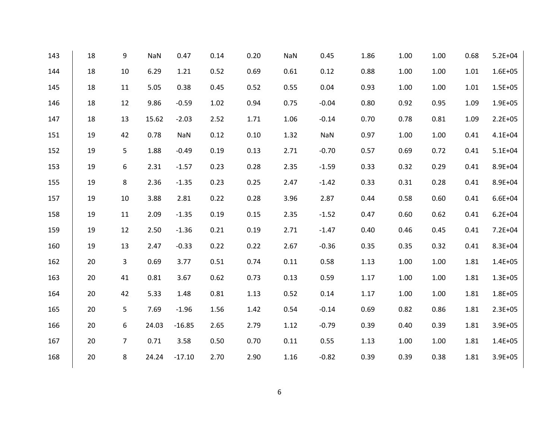| 143 | 18 | 9              | NaN   | 0.47     | 0.14 | 0.20 | NaN  | 0.45       | 1.86 | 1.00 | 1.00 | 0.68 | $5.2E + 04$ |
|-----|----|----------------|-------|----------|------|------|------|------------|------|------|------|------|-------------|
| 144 | 18 | 10             | 6.29  | 1.21     | 0.52 | 0.69 | 0.61 | 0.12       | 0.88 | 1.00 | 1.00 | 1.01 | $1.6E + 05$ |
| 145 | 18 | 11             | 5.05  | 0.38     | 0.45 | 0.52 | 0.55 | 0.04       | 0.93 | 1.00 | 1.00 | 1.01 | $1.5E + 05$ |
| 146 | 18 | 12             | 9.86  | $-0.59$  | 1.02 | 0.94 | 0.75 | $-0.04$    | 0.80 | 0.92 | 0.95 | 1.09 | $1.9E + 05$ |
| 147 | 18 | 13             | 15.62 | $-2.03$  | 2.52 | 1.71 | 1.06 | $-0.14$    | 0.70 | 0.78 | 0.81 | 1.09 | $2.2E + 05$ |
| 151 | 19 | 42             | 0.78  | NaN      | 0.12 | 0.10 | 1.32 | <b>NaN</b> | 0.97 | 1.00 | 1.00 | 0.41 | $4.1E + 04$ |
| 152 | 19 | 5              | 1.88  | $-0.49$  | 0.19 | 0.13 | 2.71 | $-0.70$    | 0.57 | 0.69 | 0.72 | 0.41 | $5.1E + 04$ |
| 153 | 19 | 6              | 2.31  | $-1.57$  | 0.23 | 0.28 | 2.35 | $-1.59$    | 0.33 | 0.32 | 0.29 | 0.41 | 8.9E+04     |
| 155 | 19 | 8              | 2.36  | $-1.35$  | 0.23 | 0.25 | 2.47 | $-1.42$    | 0.33 | 0.31 | 0.28 | 0.41 | 8.9E+04     |
| 157 | 19 | 10             | 3.88  | 2.81     | 0.22 | 0.28 | 3.96 | 2.87       | 0.44 | 0.58 | 0.60 | 0.41 | $6.6E + 04$ |
| 158 | 19 | 11             | 2.09  | $-1.35$  | 0.19 | 0.15 | 2.35 | $-1.52$    | 0.47 | 0.60 | 0.62 | 0.41 | $6.2E + 04$ |
| 159 | 19 | 12             | 2.50  | $-1.36$  | 0.21 | 0.19 | 2.71 | $-1.47$    | 0.40 | 0.46 | 0.45 | 0.41 | $7.2E + 04$ |
| 160 | 19 | 13             | 2.47  | $-0.33$  | 0.22 | 0.22 | 2.67 | $-0.36$    | 0.35 | 0.35 | 0.32 | 0.41 | 8.3E+04     |
| 162 | 20 | 3              | 0.69  | 3.77     | 0.51 | 0.74 | 0.11 | 0.58       | 1.13 | 1.00 | 1.00 | 1.81 | $1.4E + 05$ |
| 163 | 20 | 41             | 0.81  | 3.67     | 0.62 | 0.73 | 0.13 | 0.59       | 1.17 | 1.00 | 1.00 | 1.81 | $1.3E + 05$ |
| 164 | 20 | 42             | 5.33  | 1.48     | 0.81 | 1.13 | 0.52 | 0.14       | 1.17 | 1.00 | 1.00 | 1.81 | $1.8E + 05$ |
| 165 | 20 | 5              | 7.69  | $-1.96$  | 1.56 | 1.42 | 0.54 | $-0.14$    | 0.69 | 0.82 | 0.86 | 1.81 | $2.3E + 05$ |
| 166 | 20 | 6              | 24.03 | $-16.85$ | 2.65 | 2.79 | 1.12 | $-0.79$    | 0.39 | 0.40 | 0.39 | 1.81 | $3.9E + 05$ |
| 167 | 20 | $\overline{7}$ | 0.71  | 3.58     | 0.50 | 0.70 | 0.11 | 0.55       | 1.13 | 1.00 | 1.00 | 1.81 | $1.4E + 05$ |
| 168 | 20 | 8              | 24.24 | $-17.10$ | 2.70 | 2.90 | 1.16 | $-0.82$    | 0.39 | 0.39 | 0.38 | 1.81 | $3.9E + 05$ |
|     |    |                |       |          |      |      |      |            |      |      |      |      |             |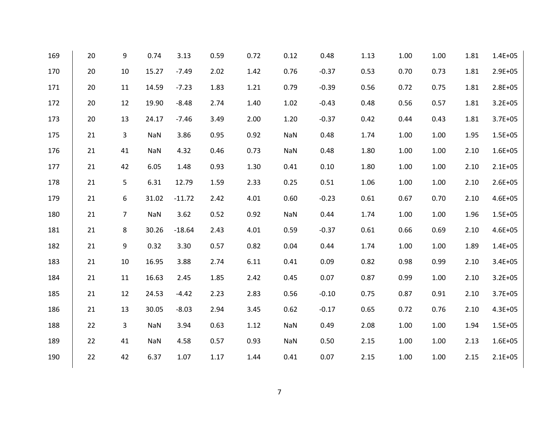| 169 | 20 | 9              | 0.74       | 3.13     | 0.59 | 0.72 | 0.12 | 0.48    | 1.13 | 1.00 | 1.00 | 1.81 | $1.4E + 05$ |
|-----|----|----------------|------------|----------|------|------|------|---------|------|------|------|------|-------------|
| 170 | 20 | 10             | 15.27      | $-7.49$  | 2.02 | 1.42 | 0.76 | $-0.37$ | 0.53 | 0.70 | 0.73 | 1.81 | $2.9E + 05$ |
| 171 | 20 | 11             | 14.59      | $-7.23$  | 1.83 | 1.21 | 0.79 | $-0.39$ | 0.56 | 0.72 | 0.75 | 1.81 | $2.8E + 05$ |
| 172 | 20 | 12             | 19.90      | $-8.48$  | 2.74 | 1.40 | 1.02 | $-0.43$ | 0.48 | 0.56 | 0.57 | 1.81 | $3.2E + 05$ |
| 173 | 20 | 13             | 24.17      | $-7.46$  | 3.49 | 2.00 | 1.20 | $-0.37$ | 0.42 | 0.44 | 0.43 | 1.81 | $3.7E + 05$ |
| 175 | 21 | 3              | <b>NaN</b> | 3.86     | 0.95 | 0.92 | NaN  | 0.48    | 1.74 | 1.00 | 1.00 | 1.95 | $1.5E + 05$ |
| 176 | 21 | 41             | <b>NaN</b> | 4.32     | 0.46 | 0.73 | NaN  | 0.48    | 1.80 | 1.00 | 1.00 | 2.10 | $1.6E + 05$ |
| 177 | 21 | 42             | 6.05       | 1.48     | 0.93 | 1.30 | 0.41 | 0.10    | 1.80 | 1.00 | 1.00 | 2.10 | $2.1E + 05$ |
| 178 | 21 | 5              | 6.31       | 12.79    | 1.59 | 2.33 | 0.25 | 0.51    | 1.06 | 1.00 | 1.00 | 2.10 | $2.6E + 05$ |
| 179 | 21 | 6              | 31.02      | $-11.72$ | 2.42 | 4.01 | 0.60 | $-0.23$ | 0.61 | 0.67 | 0.70 | 2.10 | $4.6E + 05$ |
| 180 | 21 | $\overline{7}$ | <b>NaN</b> | 3.62     | 0.52 | 0.92 | NaN  | 0.44    | 1.74 | 1.00 | 1.00 | 1.96 | $1.5E + 05$ |
| 181 | 21 | 8              | 30.26      | $-18.64$ | 2.43 | 4.01 | 0.59 | $-0.37$ | 0.61 | 0.66 | 0.69 | 2.10 | $4.6E + 05$ |
| 182 | 21 | 9              | 0.32       | 3.30     | 0.57 | 0.82 | 0.04 | 0.44    | 1.74 | 1.00 | 1.00 | 1.89 | $1.4E + 05$ |
| 183 | 21 | 10             | 16.95      | 3.88     | 2.74 | 6.11 | 0.41 | 0.09    | 0.82 | 0.98 | 0.99 | 2.10 | $3.4E + 05$ |
| 184 | 21 | 11             | 16.63      | 2.45     | 1.85 | 2.42 | 0.45 | 0.07    | 0.87 | 0.99 | 1.00 | 2.10 | $3.2E + 05$ |
| 185 | 21 | 12             | 24.53      | $-4.42$  | 2.23 | 2.83 | 0.56 | $-0.10$ | 0.75 | 0.87 | 0.91 | 2.10 | $3.7E + 05$ |
| 186 | 21 | 13             | 30.05      | $-8.03$  | 2.94 | 3.45 | 0.62 | $-0.17$ | 0.65 | 0.72 | 0.76 | 2.10 | $4.3E + 05$ |
| 188 | 22 | 3              | <b>NaN</b> | 3.94     | 0.63 | 1.12 | NaN  | 0.49    | 2.08 | 1.00 | 1.00 | 1.94 | $1.5E + 05$ |
| 189 | 22 | 41             | NaN        | 4.58     | 0.57 | 0.93 | NaN  | 0.50    | 2.15 | 1.00 | 1.00 | 2.13 | $1.6E + 05$ |
| 190 | 22 | 42             | 6.37       | 1.07     | 1.17 | 1.44 | 0.41 | 0.07    | 2.15 | 1.00 | 1.00 | 2.15 | $2.1E + 05$ |
|     |    |                |            |          |      |      |      |         |      |      |      |      |             |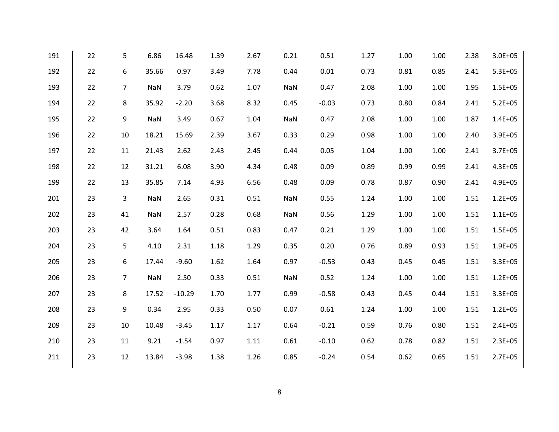| 191 | 22 | 5              | 6.86       | 16.48    | 1.39 | 2.67 | 0.21 | 0.51    | 1.27 | 1.00 | 1.00 | 2.38 | $3.0E + 05$ |
|-----|----|----------------|------------|----------|------|------|------|---------|------|------|------|------|-------------|
| 192 | 22 | 6              | 35.66      | 0.97     | 3.49 | 7.78 | 0.44 | 0.01    | 0.73 | 0.81 | 0.85 | 2.41 | $5.3E + 05$ |
| 193 | 22 | $\overline{7}$ | <b>NaN</b> | 3.79     | 0.62 | 1.07 | NaN  | 0.47    | 2.08 | 1.00 | 1.00 | 1.95 | $1.5E + 05$ |
| 194 | 22 | 8              | 35.92      | $-2.20$  | 3.68 | 8.32 | 0.45 | $-0.03$ | 0.73 | 0.80 | 0.84 | 2.41 | $5.2E + 05$ |
| 195 | 22 | 9              | <b>NaN</b> | 3.49     | 0.67 | 1.04 | NaN  | 0.47    | 2.08 | 1.00 | 1.00 | 1.87 | $1.4E + 05$ |
| 196 | 22 | 10             | 18.21      | 15.69    | 2.39 | 3.67 | 0.33 | 0.29    | 0.98 | 1.00 | 1.00 | 2.40 | $3.9E + 05$ |
| 197 | 22 | 11             | 21.43      | 2.62     | 2.43 | 2.45 | 0.44 | 0.05    | 1.04 | 1.00 | 1.00 | 2.41 | $3.7E + 05$ |
| 198 | 22 | 12             | 31.21      | 6.08     | 3.90 | 4.34 | 0.48 | 0.09    | 0.89 | 0.99 | 0.99 | 2.41 | $4.3E + 05$ |
| 199 | 22 | 13             | 35.85      | 7.14     | 4.93 | 6.56 | 0.48 | 0.09    | 0.78 | 0.87 | 0.90 | 2.41 | $4.9E + 05$ |
| 201 | 23 | 3              | <b>NaN</b> | 2.65     | 0.31 | 0.51 | NaN  | 0.55    | 1.24 | 1.00 | 1.00 | 1.51 | $1.2E + 05$ |
| 202 | 23 | 41             | <b>NaN</b> | 2.57     | 0.28 | 0.68 | NaN  | 0.56    | 1.29 | 1.00 | 1.00 | 1.51 | $1.1E + 05$ |
| 203 | 23 | 42             | 3.64       | 1.64     | 0.51 | 0.83 | 0.47 | 0.21    | 1.29 | 1.00 | 1.00 | 1.51 | $1.5E + 05$ |
| 204 | 23 | 5              | 4.10       | 2.31     | 1.18 | 1.29 | 0.35 | 0.20    | 0.76 | 0.89 | 0.93 | 1.51 | $1.9E + 05$ |
| 205 | 23 | 6              | 17.44      | $-9.60$  | 1.62 | 1.64 | 0.97 | $-0.53$ | 0.43 | 0.45 | 0.45 | 1.51 | $3.3E + 05$ |
| 206 | 23 | $\overline{7}$ | <b>NaN</b> | 2.50     | 0.33 | 0.51 | NaN  | 0.52    | 1.24 | 1.00 | 1.00 | 1.51 | $1.2E + 05$ |
| 207 | 23 | 8              | 17.52      | $-10.29$ | 1.70 | 1.77 | 0.99 | $-0.58$ | 0.43 | 0.45 | 0.44 | 1.51 | $3.3E + 05$ |
| 208 | 23 | 9              | 0.34       | 2.95     | 0.33 | 0.50 | 0.07 | 0.61    | 1.24 | 1.00 | 1.00 | 1.51 | $1.2E + 05$ |
| 209 | 23 | 10             | 10.48      | $-3.45$  | 1.17 | 1.17 | 0.64 | $-0.21$ | 0.59 | 0.76 | 0.80 | 1.51 | $2.4E + 05$ |
| 210 | 23 | 11             | 9.21       | $-1.54$  | 0.97 | 1.11 | 0.61 | $-0.10$ | 0.62 | 0.78 | 0.82 | 1.51 | $2.3E + 05$ |
| 211 | 23 | 12             | 13.84      | $-3.98$  | 1.38 | 1.26 | 0.85 | $-0.24$ | 0.54 | 0.62 | 0.65 | 1.51 | $2.7E + 05$ |
|     |    |                |            |          |      |      |      |         |      |      |      |      |             |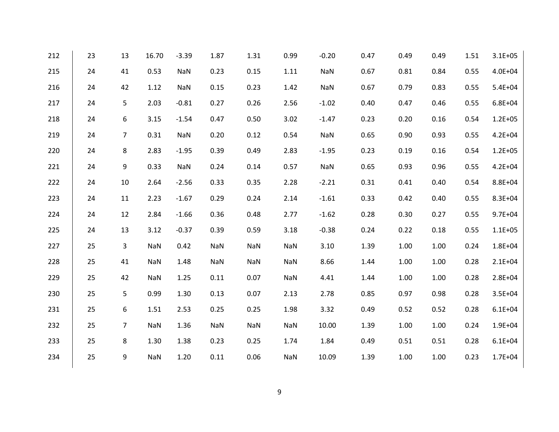| 212 | 23 | 13             | 16.70      | $-3.39$    | 1.87       | 1.31 | 0.99       | $-0.20$    | 0.47 | 0.49 | 0.49 | 1.51 | $3.1E + 05$ |
|-----|----|----------------|------------|------------|------------|------|------------|------------|------|------|------|------|-------------|
| 215 | 24 | 41             | 0.53       | NaN        | 0.23       | 0.15 | 1.11       | NaN        | 0.67 | 0.81 | 0.84 | 0.55 | $4.0E + 04$ |
| 216 | 24 | 42             | 1.12       | NaN        | 0.15       | 0.23 | 1.42       | NaN        | 0.67 | 0.79 | 0.83 | 0.55 | $5.4E + 04$ |
| 217 | 24 | 5              | 2.03       | $-0.81$    | 0.27       | 0.26 | 2.56       | $-1.02$    | 0.40 | 0.47 | 0.46 | 0.55 | $6.8E + 04$ |
| 218 | 24 | 6              | 3.15       | $-1.54$    | 0.47       | 0.50 | 3.02       | $-1.47$    | 0.23 | 0.20 | 0.16 | 0.54 | $1.2E + 05$ |
| 219 | 24 | $\overline{7}$ | 0.31       | <b>NaN</b> | 0.20       | 0.12 | 0.54       | <b>NaN</b> | 0.65 | 0.90 | 0.93 | 0.55 | $4.2E + 04$ |
| 220 | 24 | 8              | 2.83       | $-1.95$    | 0.39       | 0.49 | 2.83       | $-1.95$    | 0.23 | 0.19 | 0.16 | 0.54 | $1.2E + 05$ |
| 221 | 24 | 9              | 0.33       | NaN        | 0.24       | 0.14 | 0.57       | <b>NaN</b> | 0.65 | 0.93 | 0.96 | 0.55 | $4.2E + 04$ |
| 222 | 24 | 10             | 2.64       | $-2.56$    | 0.33       | 0.35 | 2.28       | $-2.21$    | 0.31 | 0.41 | 0.40 | 0.54 | 8.8E+04     |
| 223 | 24 | 11             | 2.23       | $-1.67$    | 0.29       | 0.24 | 2.14       | $-1.61$    | 0.33 | 0.42 | 0.40 | 0.55 | 8.3E+04     |
| 224 | 24 | 12             | 2.84       | $-1.66$    | 0.36       | 0.48 | 2.77       | $-1.62$    | 0.28 | 0.30 | 0.27 | 0.55 | $9.7E + 04$ |
| 225 | 24 | 13             | 3.12       | $-0.37$    | 0.39       | 0.59 | 3.18       | $-0.38$    | 0.24 | 0.22 | 0.18 | 0.55 | $1.1E + 05$ |
| 227 | 25 | 3              | NaN        | 0.42       | <b>NaN</b> | NaN  | NaN        | 3.10       | 1.39 | 1.00 | 1.00 | 0.24 | $1.8E + 04$ |
| 228 | 25 | 41             | <b>NaN</b> | 1.48       | <b>NaN</b> | NaN  | NaN        | 8.66       | 1.44 | 1.00 | 1.00 | 0.28 | $2.1E + 04$ |
| 229 | 25 | 42             | <b>NaN</b> | 1.25       | 0.11       | 0.07 | <b>NaN</b> | 4.41       | 1.44 | 1.00 | 1.00 | 0.28 | $2.8E + 04$ |
| 230 | 25 | 5              | 0.99       | 1.30       | 0.13       | 0.07 | 2.13       | 2.78       | 0.85 | 0.97 | 0.98 | 0.28 | $3.5E + 04$ |
| 231 | 25 | 6              | 1.51       | 2.53       | 0.25       | 0.25 | 1.98       | 3.32       | 0.49 | 0.52 | 0.52 | 0.28 | $6.1E + 04$ |
| 232 | 25 | $\overline{7}$ | <b>NaN</b> | 1.36       | <b>NaN</b> | NaN  | NaN        | 10.00      | 1.39 | 1.00 | 1.00 | 0.24 | 1.9E+04     |
| 233 | 25 | 8              | 1.30       | 1.38       | 0.23       | 0.25 | 1.74       | 1.84       | 0.49 | 0.51 | 0.51 | 0.28 | $6.1E + 04$ |
| 234 | 25 | 9              | NaN        | 1.20       | 0.11       | 0.06 | <b>NaN</b> | 10.09      | 1.39 | 1.00 | 1.00 | 0.23 | $1.7E + 04$ |
|     |    |                |            |            |            |      |            |            |      |      |      |      |             |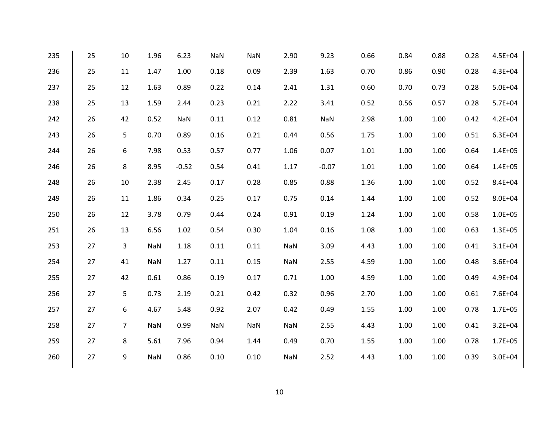| 235 | 25 | 10             | 1.96 | 6.23       | NaN  | NaN        | 2.90       | 9.23       | 0.66 | 0.84 | 0.88 | 0.28 | 4.5E+04     |
|-----|----|----------------|------|------------|------|------------|------------|------------|------|------|------|------|-------------|
| 236 | 25 | 11             | 1.47 | 1.00       | 0.18 | 0.09       | 2.39       | 1.63       | 0.70 | 0.86 | 0.90 | 0.28 | $4.3E + 04$ |
| 237 | 25 | 12             | 1.63 | 0.89       | 0.22 | 0.14       | 2.41       | 1.31       | 0.60 | 0.70 | 0.73 | 0.28 | $5.0E + 04$ |
| 238 | 25 | 13             | 1.59 | 2.44       | 0.23 | 0.21       | 2.22       | 3.41       | 0.52 | 0.56 | 0.57 | 0.28 | $5.7E + 04$ |
| 242 | 26 | 42             | 0.52 | <b>NaN</b> | 0.11 | 0.12       | 0.81       | <b>NaN</b> | 2.98 | 1.00 | 1.00 | 0.42 | $4.2E + 04$ |
| 243 | 26 | 5              | 0.70 | 0.89       | 0.16 | 0.21       | 0.44       | 0.56       | 1.75 | 1.00 | 1.00 | 0.51 | $6.3E + 04$ |
| 244 | 26 | 6              | 7.98 | 0.53       | 0.57 | 0.77       | 1.06       | 0.07       | 1.01 | 1.00 | 1.00 | 0.64 | $1.4E + 05$ |
| 246 | 26 | 8              | 8.95 | $-0.52$    | 0.54 | 0.41       | 1.17       | $-0.07$    | 1.01 | 1.00 | 1.00 | 0.64 | $1.4E + 05$ |
| 248 | 26 | 10             | 2.38 | 2.45       | 0.17 | 0.28       | 0.85       | 0.88       | 1.36 | 1.00 | 1.00 | 0.52 | 8.4E+04     |
| 249 | 26 | 11             | 1.86 | 0.34       | 0.25 | 0.17       | 0.75       | 0.14       | 1.44 | 1.00 | 1.00 | 0.52 | 8.0E+04     |
| 250 | 26 | 12             | 3.78 | 0.79       | 0.44 | 0.24       | 0.91       | 0.19       | 1.24 | 1.00 | 1.00 | 0.58 | $1.0E + 05$ |
| 251 | 26 | 13             | 6.56 | 1.02       | 0.54 | 0.30       | 1.04       | 0.16       | 1.08 | 1.00 | 1.00 | 0.63 | $1.3E + 05$ |
| 253 | 27 | 3              | NaN  | 1.18       | 0.11 | 0.11       | <b>NaN</b> | 3.09       | 4.43 | 1.00 | 1.00 | 0.41 | $3.1E + 04$ |
| 254 | 27 | 41             | NaN  | 1.27       | 0.11 | 0.15       | <b>NaN</b> | 2.55       | 4.59 | 1.00 | 1.00 | 0.48 | 3.6E+04     |
| 255 | 27 | 42             | 0.61 | 0.86       | 0.19 | 0.17       | 0.71       | 1.00       | 4.59 | 1.00 | 1.00 | 0.49 | 4.9E+04     |
| 256 | 27 | 5              | 0.73 | 2.19       | 0.21 | 0.42       | 0.32       | 0.96       | 2.70 | 1.00 | 1.00 | 0.61 | 7.6E+04     |
| 257 | 27 | 6              | 4.67 | 5.48       | 0.92 | 2.07       | 0.42       | 0.49       | 1.55 | 1.00 | 1.00 | 0.78 | $1.7E + 05$ |
| 258 | 27 | $\overline{7}$ | NaN  | 0.99       | NaN  | <b>NaN</b> | <b>NaN</b> | 2.55       | 4.43 | 1.00 | 1.00 | 0.41 | $3.2E + 04$ |
| 259 | 27 | 8              | 5.61 | 7.96       | 0.94 | 1.44       | 0.49       | 0.70       | 1.55 | 1.00 | 1.00 | 0.78 | $1.7E + 05$ |
| 260 | 27 | 9              | NaN  | 0.86       | 0.10 | 0.10       | <b>NaN</b> | 2.52       | 4.43 | 1.00 | 1.00 | 0.39 | $3.0E + 04$ |
|     |    |                |      |            |      |            |            |            |      |      |      |      |             |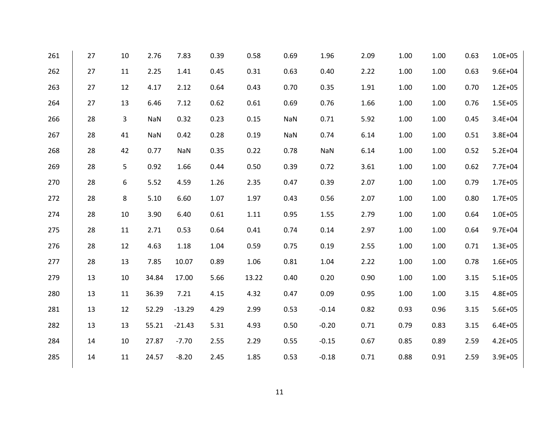| 261 | 27 | 10 | 2.76       | 7.83       | 0.39 | 0.58  | 0.69       | 1.96       | 2.09 | 1.00 | 1.00 | 0.63 | $1.0E + 05$ |
|-----|----|----|------------|------------|------|-------|------------|------------|------|------|------|------|-------------|
| 262 | 27 | 11 | 2.25       | 1.41       | 0.45 | 0.31  | 0.63       | 0.40       | 2.22 | 1.00 | 1.00 | 0.63 | $9.6E + 04$ |
| 263 | 27 | 12 | 4.17       | 2.12       | 0.64 | 0.43  | 0.70       | 0.35       | 1.91 | 1.00 | 1.00 | 0.70 | $1.2E + 05$ |
| 264 | 27 | 13 | 6.46       | 7.12       | 0.62 | 0.61  | 0.69       | 0.76       | 1.66 | 1.00 | 1.00 | 0.76 | $1.5E + 05$ |
| 266 | 28 | 3  | <b>NaN</b> | 0.32       | 0.23 | 0.15  | <b>NaN</b> | 0.71       | 5.92 | 1.00 | 1.00 | 0.45 | 3.4E+04     |
| 267 | 28 | 41 | <b>NaN</b> | 0.42       | 0.28 | 0.19  | <b>NaN</b> | 0.74       | 6.14 | 1.00 | 1.00 | 0.51 | 3.8E+04     |
| 268 | 28 | 42 | 0.77       | <b>NaN</b> | 0.35 | 0.22  | 0.78       | <b>NaN</b> | 6.14 | 1.00 | 1.00 | 0.52 | $5.2E + 04$ |
| 269 | 28 | 5  | 0.92       | 1.66       | 0.44 | 0.50  | 0.39       | 0.72       | 3.61 | 1.00 | 1.00 | 0.62 | 7.7E+04     |
| 270 | 28 | 6  | 5.52       | 4.59       | 1.26 | 2.35  | 0.47       | 0.39       | 2.07 | 1.00 | 1.00 | 0.79 | $1.7E + 05$ |
| 272 | 28 | 8  | 5.10       | 6.60       | 1.07 | 1.97  | 0.43       | 0.56       | 2.07 | 1.00 | 1.00 | 0.80 | $1.7E + 05$ |
| 274 | 28 | 10 | 3.90       | 6.40       | 0.61 | 1.11  | 0.95       | 1.55       | 2.79 | 1.00 | 1.00 | 0.64 | $1.0E + 05$ |
| 275 | 28 | 11 | 2.71       | 0.53       | 0.64 | 0.41  | 0.74       | 0.14       | 2.97 | 1.00 | 1.00 | 0.64 | $9.7E + 04$ |
| 276 | 28 | 12 | 4.63       | 1.18       | 1.04 | 0.59  | 0.75       | 0.19       | 2.55 | 1.00 | 1.00 | 0.71 | $1.3E + 05$ |
| 277 | 28 | 13 | 7.85       | 10.07      | 0.89 | 1.06  | 0.81       | 1.04       | 2.22 | 1.00 | 1.00 | 0.78 | $1.6E + 05$ |
| 279 | 13 | 10 | 34.84      | 17.00      | 5.66 | 13.22 | 0.40       | 0.20       | 0.90 | 1.00 | 1.00 | 3.15 | $5.1E + 05$ |
| 280 | 13 | 11 | 36.39      | 7.21       | 4.15 | 4.32  | 0.47       | 0.09       | 0.95 | 1.00 | 1.00 | 3.15 | $4.8E + 05$ |
| 281 | 13 | 12 | 52.29      | $-13.29$   | 4.29 | 2.99  | 0.53       | $-0.14$    | 0.82 | 0.93 | 0.96 | 3.15 | $5.6E + 05$ |
| 282 | 13 | 13 | 55.21      | $-21.43$   | 5.31 | 4.93  | 0.50       | $-0.20$    | 0.71 | 0.79 | 0.83 | 3.15 | $6.4E + 05$ |
| 284 | 14 | 10 | 27.87      | $-7.70$    | 2.55 | 2.29  | 0.55       | $-0.15$    | 0.67 | 0.85 | 0.89 | 2.59 | $4.2E + 05$ |
| 285 | 14 | 11 | 24.57      | $-8.20$    | 2.45 | 1.85  | 0.53       | $-0.18$    | 0.71 | 0.88 | 0.91 | 2.59 | $3.9E + 05$ |
|     |    |    |            |            |      |       |            |            |      |      |      |      |             |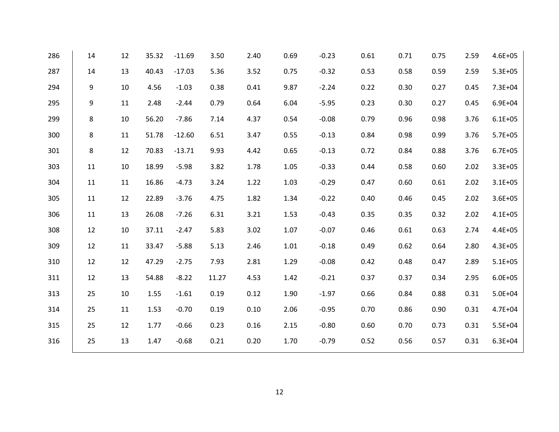| 286 | 14 | 12 | 35.32 | $-11.69$ | 3.50  | 2.40 | 0.69 | $-0.23$ | 0.61 | 0.71 | 0.75 | 2.59 | $4.6E + 05$ |
|-----|----|----|-------|----------|-------|------|------|---------|------|------|------|------|-------------|
| 287 | 14 | 13 | 40.43 | $-17.03$ | 5.36  | 3.52 | 0.75 | $-0.32$ | 0.53 | 0.58 | 0.59 | 2.59 | $5.3E + 05$ |
| 294 | 9  | 10 | 4.56  | $-1.03$  | 0.38  | 0.41 | 9.87 | $-2.24$ | 0.22 | 0.30 | 0.27 | 0.45 | 7.3E+04     |
| 295 | 9  | 11 | 2.48  | $-2.44$  | 0.79  | 0.64 | 6.04 | $-5.95$ | 0.23 | 0.30 | 0.27 | 0.45 | $6.9E + 04$ |
| 299 | 8  | 10 | 56.20 | $-7.86$  | 7.14  | 4.37 | 0.54 | $-0.08$ | 0.79 | 0.96 | 0.98 | 3.76 | $6.1E + 05$ |
| 300 | 8  | 11 | 51.78 | $-12.60$ | 6.51  | 3.47 | 0.55 | $-0.13$ | 0.84 | 0.98 | 0.99 | 3.76 | $5.7E + 05$ |
| 301 | 8  | 12 | 70.83 | $-13.71$ | 9.93  | 4.42 | 0.65 | $-0.13$ | 0.72 | 0.84 | 0.88 | 3.76 | $6.7E + 05$ |
| 303 | 11 | 10 | 18.99 | $-5.98$  | 3.82  | 1.78 | 1.05 | $-0.33$ | 0.44 | 0.58 | 0.60 | 2.02 | $3.3E + 05$ |
| 304 | 11 | 11 | 16.86 | $-4.73$  | 3.24  | 1.22 | 1.03 | $-0.29$ | 0.47 | 0.60 | 0.61 | 2.02 | $3.1E + 05$ |
| 305 | 11 | 12 | 22.89 | $-3.76$  | 4.75  | 1.82 | 1.34 | $-0.22$ | 0.40 | 0.46 | 0.45 | 2.02 | $3.6E + 05$ |
| 306 | 11 | 13 | 26.08 | $-7.26$  | 6.31  | 3.21 | 1.53 | $-0.43$ | 0.35 | 0.35 | 0.32 | 2.02 | $4.1E + 05$ |
| 308 | 12 | 10 | 37.11 | $-2.47$  | 5.83  | 3.02 | 1.07 | $-0.07$ | 0.46 | 0.61 | 0.63 | 2.74 | $4.4E + 05$ |
| 309 | 12 | 11 | 33.47 | $-5.88$  | 5.13  | 2.46 | 1.01 | $-0.18$ | 0.49 | 0.62 | 0.64 | 2.80 | $4.3E + 05$ |
| 310 | 12 | 12 | 47.29 | $-2.75$  | 7.93  | 2.81 | 1.29 | $-0.08$ | 0.42 | 0.48 | 0.47 | 2.89 | $5.1E + 05$ |
| 311 | 12 | 13 | 54.88 | $-8.22$  | 11.27 | 4.53 | 1.42 | $-0.21$ | 0.37 | 0.37 | 0.34 | 2.95 | $6.0E + 05$ |
| 313 | 25 | 10 | 1.55  | $-1.61$  | 0.19  | 0.12 | 1.90 | $-1.97$ | 0.66 | 0.84 | 0.88 | 0.31 | $5.0E + 04$ |
| 314 | 25 | 11 | 1.53  | $-0.70$  | 0.19  | 0.10 | 2.06 | $-0.95$ | 0.70 | 0.86 | 0.90 | 0.31 | $4.7E + 04$ |
| 315 | 25 | 12 | 1.77  | $-0.66$  | 0.23  | 0.16 | 2.15 | $-0.80$ | 0.60 | 0.70 | 0.73 | 0.31 | $5.5E + 04$ |
| 316 | 25 | 13 | 1.47  | $-0.68$  | 0.21  | 0.20 | 1.70 | $-0.79$ | 0.52 | 0.56 | 0.57 | 0.31 | $6.3E + 04$ |
|     |    |    |       |          |       |      |      |         |      |      |      |      |             |